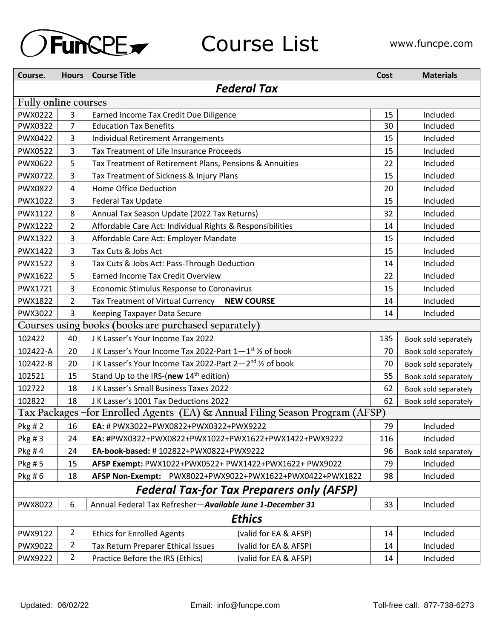

### Course List WWW.funcpe.com

| Course.                                                                      |                | <b>Hours</b> Course Title                                                        | Cost | <b>Materials</b>     |  |  |  |  |
|------------------------------------------------------------------------------|----------------|----------------------------------------------------------------------------------|------|----------------------|--|--|--|--|
|                                                                              |                | <b>Federal Tax</b>                                                               |      |                      |  |  |  |  |
| Fully online courses                                                         |                |                                                                                  |      |                      |  |  |  |  |
| PWX0222                                                                      | 3              | Earned Income Tax Credit Due Diligence                                           | 15   | Included             |  |  |  |  |
| PWX0322                                                                      | 7              | <b>Education Tax Benefits</b>                                                    | 30   | Included             |  |  |  |  |
| PWX0422                                                                      | 3              | <b>Individual Retirement Arrangements</b>                                        | 15   | Included             |  |  |  |  |
| PWX0522                                                                      | 3              | Tax Treatment of Life Insurance Proceeds                                         |      | Included             |  |  |  |  |
| PWX0622                                                                      | 5              | Tax Treatment of Retirement Plans, Pensions & Annuities                          | 22   | Included             |  |  |  |  |
| PWX0722                                                                      | 3              | Tax Treatment of Sickness & Injury Plans                                         | 15   | Included             |  |  |  |  |
| PWX0822                                                                      | 4              | Home Office Deduction                                                            | 20   | Included             |  |  |  |  |
| PWX1022                                                                      | 3              | Federal Tax Update                                                               | 15   | Included             |  |  |  |  |
| PWX1122                                                                      | 8              | Annual Tax Season Update (2022 Tax Returns)                                      | 32   | Included             |  |  |  |  |
| <b>PWX1222</b>                                                               | $\overline{2}$ | Affordable Care Act: Individual Rights & Responsibilities                        |      | Included             |  |  |  |  |
| <b>PWX1322</b>                                                               | 3              | Affordable Care Act: Employer Mandate                                            | 15   | Included             |  |  |  |  |
| <b>PWX1422</b>                                                               | 3              | Tax Cuts & Jobs Act                                                              | 15   | Included             |  |  |  |  |
| <b>PWX1522</b>                                                               | 3              | Tax Cuts & Jobs Act: Pass-Through Deduction                                      | 14   | Included             |  |  |  |  |
| PWX1622                                                                      | 5              | <b>Earned Income Tax Credit Overview</b>                                         | 22   | Included             |  |  |  |  |
| PWX1721                                                                      | 3              | Economic Stimulus Response to Coronavirus                                        | 15   | Included             |  |  |  |  |
| <b>PWX1822</b>                                                               | $\overline{2}$ | Tax Treatment of Virtual Currency<br><b>NEW COURSE</b>                           | 14   | Included             |  |  |  |  |
| PWX3022                                                                      | 3              | Keeping Taxpayer Data Secure                                                     |      | Included             |  |  |  |  |
|                                                                              |                | Courses using books (books are purchased separately)                             |      |                      |  |  |  |  |
| 102422                                                                       | 40             | J K Lasser's Your Income Tax 2022                                                |      | Book sold separately |  |  |  |  |
| 102422-A                                                                     | 20             | J K Lasser's Your Income Tax 2022-Part 1-1 <sup>st</sup> 1/ <sub>2</sub> of book | 70   | Book sold separately |  |  |  |  |
| 102422-B                                                                     | 20             | J K Lasser's Your Income Tax 2022-Part 2-2nd 1/2 of book                         | 70   | Book sold separately |  |  |  |  |
| 102521                                                                       | 15             | Stand Up to the IRS-(new 14 <sup>th</sup> edition)                               | 55   | Book sold separately |  |  |  |  |
| 102722                                                                       | 18             | J K Lasser's Small Business Taxes 2022                                           | 62   | Book sold separately |  |  |  |  |
| 102822                                                                       | 18             | J K Lasser's 1001 Tax Deductions 2022                                            | 62   | Book sold separately |  |  |  |  |
| Tax Packages -for Enrolled Agents (EA) & Annual Filing Season Program (AFSP) |                |                                                                                  |      |                      |  |  |  |  |
| Pkg # 2                                                                      | 16             | EA: # PWX3022+PWX0822+PWX0322+PWX9222                                            |      | Included             |  |  |  |  |
| Pkg #3                                                                       | 24             | EA: #PWX0322+PWX0822+PWX1022+PWX1622+PWX1422+PWX9222                             | 116  | Included             |  |  |  |  |
| Pkg #4                                                                       | 24             | EA-book-based: #102822+PWX0822+PWX9222                                           | 96   | Book sold separately |  |  |  |  |
| Pkg #5                                                                       | 15             | AFSP Exempt: PWX1022+PWX0522+ PWX1422+PWX1622+ PWX9022                           | 79   | Included             |  |  |  |  |
| Pkg #6                                                                       | 18             | AFSP Non-Exempt: PWX8022+PWX9022+PWX1622+PWX0422+PWX1822                         | 98   | Included             |  |  |  |  |
| <b>Federal Tax-for Tax Preparers only (AFSP)</b>                             |                |                                                                                  |      |                      |  |  |  |  |
| PWX8022                                                                      | 6              | Annual Federal Tax Refresher-Available June 1-December 31                        | 33   | Included             |  |  |  |  |
| <b>Ethics</b>                                                                |                |                                                                                  |      |                      |  |  |  |  |
| PWX9122                                                                      | $\overline{2}$ | <b>Ethics for Enrolled Agents</b><br>(valid for EA & AFSP)                       | 14   | Included             |  |  |  |  |
| PWX9022                                                                      | $\overline{2}$ | Tax Return Preparer Ethical Issues<br>(valid for EA & AFSP)                      | 14   | Included             |  |  |  |  |
| PWX9222                                                                      | $\overline{2}$ | Practice Before the IRS (Ethics)<br>(valid for EA & AFSP)                        | 14   | Included             |  |  |  |  |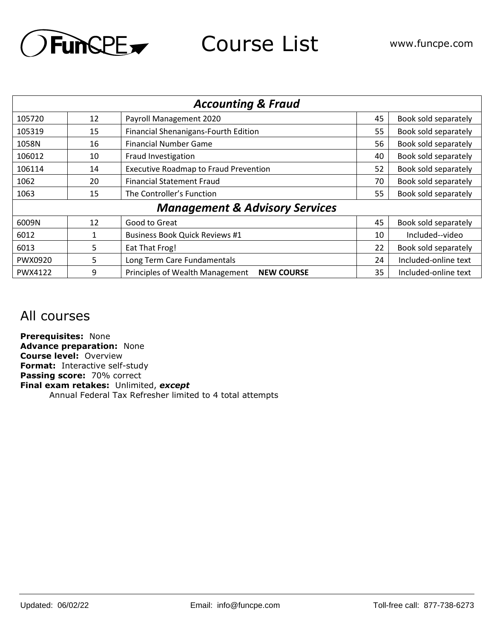

Course List **www.funcpe.com** 

| <b>Accounting &amp; Fraud</b>             |    |                                                      |    |                      |  |  |  |
|-------------------------------------------|----|------------------------------------------------------|----|----------------------|--|--|--|
| 105720                                    | 12 | Payroll Management 2020                              | 45 | Book sold separately |  |  |  |
| 105319                                    | 15 | Financial Shenanigans-Fourth Edition                 | 55 | Book sold separately |  |  |  |
| 1058N                                     | 16 | <b>Financial Number Game</b>                         | 56 | Book sold separately |  |  |  |
| 106012                                    | 10 | Fraud Investigation                                  | 40 | Book sold separately |  |  |  |
| 106114                                    | 14 | <b>Executive Roadmap to Fraud Prevention</b>         | 52 | Book sold separately |  |  |  |
| 1062                                      | 20 | <b>Financial Statement Fraud</b>                     | 70 | Book sold separately |  |  |  |
| 1063                                      | 15 | The Controller's Function                            | 55 | Book sold separately |  |  |  |
| <b>Management &amp; Advisory Services</b> |    |                                                      |    |                      |  |  |  |
| 6009N                                     | 12 | Good to Great                                        | 45 | Book sold separately |  |  |  |
| 6012                                      |    | <b>Business Book Quick Reviews #1</b>                | 10 | Included--video      |  |  |  |
| 6013                                      | 5  | Eat That Frog!                                       | 22 | Book sold separately |  |  |  |
| PWX0920                                   | 5. | Long Term Care Fundamentals                          | 24 | Included-online text |  |  |  |
| PWX4122                                   | 9  | Principles of Wealth Management<br><b>NEW COURSE</b> | 35 | Included-online text |  |  |  |

#### All courses

**Prerequisites:** None **Advance preparation:** None **Course level:** Overview **Format:** Interactive self-study **Passing score:** 70% correct **Final exam retakes:** Unlimited, *except* Annual Federal Tax Refresher limited to 4 total attempts